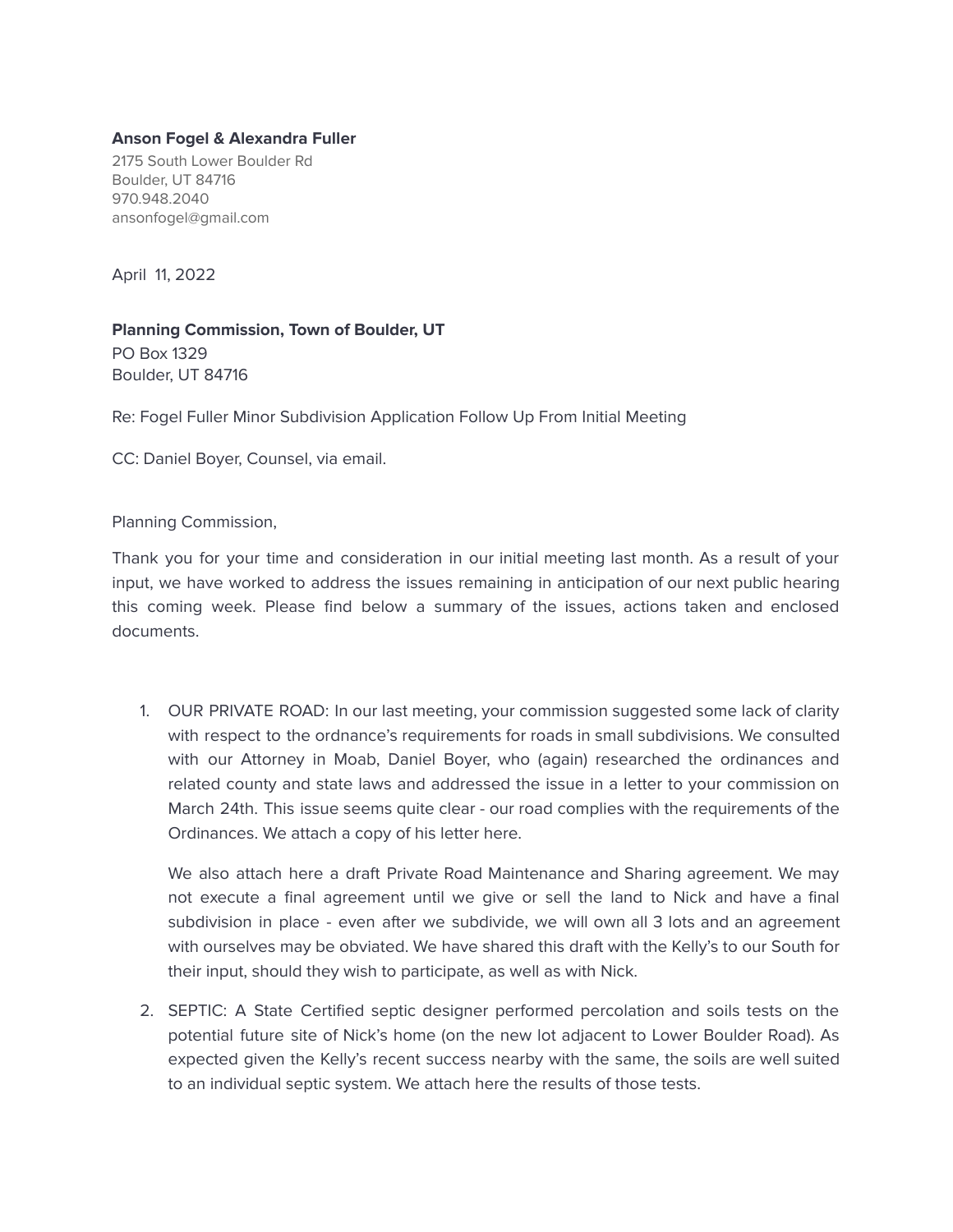## **Anson Fogel & Alexandra Fuller**

2175 South Lower Boulder Rd Boulder, UT 84716 970.948.2040 ansonfogel@gmail.com

April 11, 2022

**Planning Commission, Town of Boulder, UT** PO Box 1329 Boulder, UT 84716

Re: Fogel Fuller Minor Subdivision Application Follow Up From Initial Meeting

CC: Daniel Boyer, Counsel, via email.

Planning Commission,

Thank you for your time and consideration in our initial meeting last month. As a result of your input, we have worked to address the issues remaining in anticipation of our next public hearing this coming week. Please find below a summary of the issues, actions taken and enclosed documents.

1. OUR PRIVATE ROAD: In our last meeting, your commission suggested some lack of clarity with respect to the ordnance's requirements for roads in small subdivisions. We consulted with our Attorney in Moab, Daniel Boyer, who (again) researched the ordinances and related county and state laws and addressed the issue in a letter to your commission on March 24th. This issue seems quite clear - our road complies with the requirements of the Ordinances. We attach a copy of his letter here.

We also attach here a draft Private Road Maintenance and Sharing agreement. We may not execute a final agreement until we give or sell the land to Nick and have a final subdivision in place - even after we subdivide, we will own all 3 lots and an agreement with ourselves may be obviated. We have shared this draft with the Kelly's to our South for their input, should they wish to participate, as well as with Nick.

2. SEPTIC: A State Certified septic designer performed percolation and soils tests on the potential future site of Nick's home (on the new lot adjacent to Lower Boulder Road). As expected given the Kelly's recent success nearby with the same, the soils are well suited to an individual septic system. We attach here the results of those tests.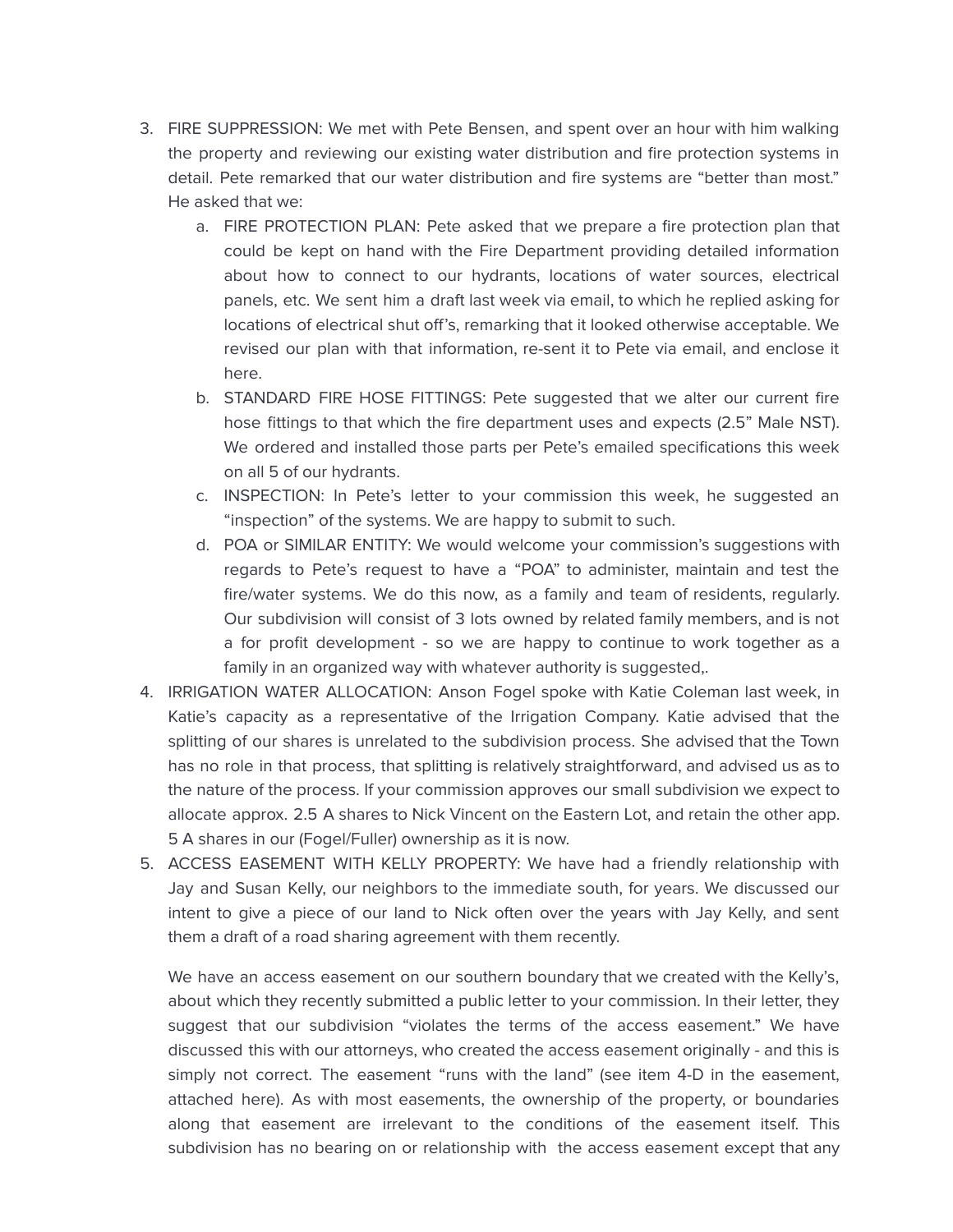- 3. FIRE SUPPRESSION: We met with Pete Bensen, and spent over an hour with him walking the property and reviewing our existing water distribution and fire protection systems in detail. Pete remarked that our water distribution and fire systems are "better than most." He asked that we:
	- a. FIRE PROTECTION PLAN: Pete asked that we prepare a fire protection plan that could be kept on hand with the Fire Department providing detailed information about how to connect to our hydrants, locations of water sources, electrical panels, etc. We sent him a draft last week via email, to which he replied asking for locations of electrical shut off's, remarking that it looked otherwise acceptable. We revised our plan with that information, re-sent it to Pete via email, and enclose it here.
	- b. STANDARD FIRE HOSE FITTINGS: Pete suggested that we alter our current fire hose fittings to that which the fire department uses and expects (2.5" Male NST). We ordered and installed those parts per Pete's emailed specifications this week on all 5 of our hydrants.
	- c. INSPECTION: In Pete's letter to your commission this week, he suggested an "inspection" of the systems. We are happy to submit to such.
	- d. POA or SIMILAR ENTITY: We would welcome your commission's suggestions with regards to Pete's request to have a "POA" to administer, maintain and test the fire/water systems. We do this now, as a family and team of residents, regularly. Our subdivision will consist of 3 lots owned by related family members, and is not a for profit development - so we are happy to continue to work together as a family in an organized way with whatever authority is suggested,.
- 4. IRRIGATION WATER ALLOCATION: Anson Fogel spoke with Katie Coleman last week, in Katie's capacity as a representative of the Irrigation Company. Katie advised that the splitting of our shares is unrelated to the subdivision process. She advised that the Town has no role in that process, that splitting is relatively straightforward, and advised us as to the nature of the process. If your commission approves our small subdivision we expect to allocate approx. 2.5 A shares to Nick Vincent on the Eastern Lot, and retain the other app. 5 A shares in our (Fogel/Fuller) ownership as it is now.
- 5. ACCESS EASEMENT WITH KELLY PROPERTY: We have had a friendly relationship with Jay and Susan Kelly, our neighbors to the immediate south, for years. We discussed our intent to give a piece of our land to Nick often over the years with Jay Kelly, and sent them a draft of a road sharing agreement with them recently.

We have an access easement on our southern boundary that we created with the Kelly's, about which they recently submitted a public letter to your commission. In their letter, they suggest that our subdivision "violates the terms of the access easement." We have discussed this with our attorneys, who created the access easement originally - and this is simply not correct. The easement "runs with the land" (see item 4-D in the easement, attached here). As with most easements, the ownership of the property, or boundaries along that easement are irrelevant to the conditions of the easement itself. This subdivision has no bearing on or relationship with the access easement except that any